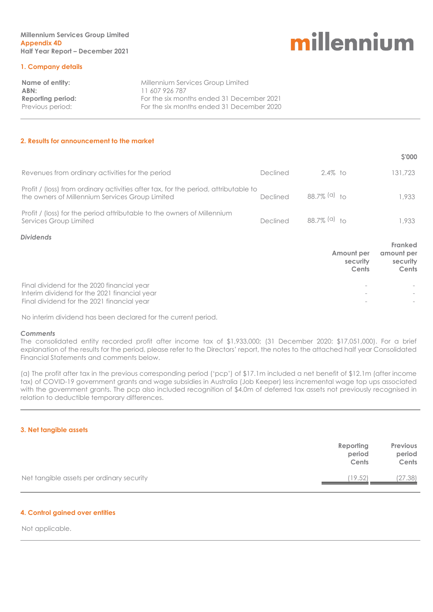**\$'000**

#### **1. Company details**

| Name of entity:   | Millennium Services Group Limited         |
|-------------------|-------------------------------------------|
| ABN:              | 11 607 926 787                            |
| Reporting period: | For the six months ended 31 December 2021 |
| Previous period:  | For the six months ended 31 December 2020 |
|                   |                                           |

#### **2. Results for announcement to the market**

|                                                                                                                                        |          |                |                                 | 2,000                                      |
|----------------------------------------------------------------------------------------------------------------------------------------|----------|----------------|---------------------------------|--------------------------------------------|
| Revenues from ordinary activities for the period                                                                                       | Declined | $2.4\%$ to     |                                 | 131,723                                    |
| Profit / (loss) from ordinary activities after tax, for the period, attributable to<br>the owners of Millennium Services Group Limited | Declined | 88.7% $(a)$ to |                                 | 1,933                                      |
| Profit / (loss) for the period attributable to the owners of Millennium<br>Services Group Limited                                      | Declined | 88.7% $(a)$ to |                                 | 1,933                                      |
| <b>Dividends</b>                                                                                                                       |          |                |                                 |                                            |
|                                                                                                                                        |          |                | Amount per<br>security<br>Cents | Franked<br>amount per<br>security<br>Cents |
| Final dividend for the 2020 financial year                                                                                             |          |                |                                 |                                            |
| Interim dividend for the 2021 financial year<br>Final dividend for the 2021 financial year                                             |          |                |                                 |                                            |

No interim dividend has been declared for the current period.

#### *Comments*

The consolidated entity recorded profit after income tax of \$1,933,000; (31 December 2020: \$17,051,000). For a brief explanation of the results for the period, please refer to the Directors' report, the notes to the attached half year Consolidated Financial Statements and comments below.

(a) The profit after tax in the previous corresponding period ('pcp') of \$17.1m included a net benefit of \$12.1m (after income tax) of COVID-19 government grants and wage subsidies in Australia (Job Keeper) less incremental wage top ups associated with the government grants. The pcp also included recognition of \$4.0m of deferred tax assets not previously recognised in relation to deductible temporary differences.

#### **3. Net tangible assets**

|                                           | Reporting<br>period<br>Cents | <b>Previous</b><br>period<br>Cents |
|-------------------------------------------|------------------------------|------------------------------------|
| Net tangible assets per ordinary security | 19.52                        | (27.38)                            |

#### **4. Control gained over entities**

Not applicable.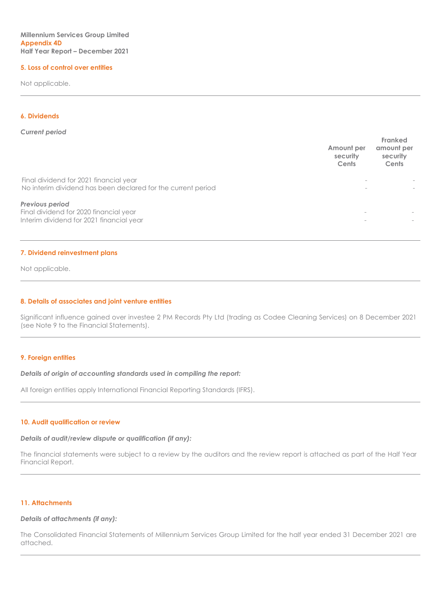#### **5. Loss of control over entities**

Not applicable.

#### **6. Dividends**

#### *Current period*

|                                                                                                        | Amount per<br>security<br>Cents | Franked<br>amount per<br>security<br>Cents |
|--------------------------------------------------------------------------------------------------------|---------------------------------|--------------------------------------------|
| Final dividend for 2021 financial year<br>No interim dividend has been declared for the current period |                                 |                                            |
| Previous period<br>Final dividend for 2020 financial year<br>Interim dividend for 2021 financial year  | $\overline{\phantom{a}}$        |                                            |

#### **7. Dividend reinvestment plans**

Not applicable.

#### **8. Details of associates and joint venture entities**

Significant influence gained over investee 2 PM Records Pty Ltd (trading as Codee Cleaning Services) on 8 December 2021 (see Note 9 to the Financial Statements).

#### **9. Foreign entities**

*Details of origin of accounting standards used in compiling the report:*

All foreign entities apply International Financial Reporting Standards (IFRS).

#### **10. Audit qualification or review**

#### *Details of audit/review dispute or qualification (if any):*

The financial statements were subject to a review by the auditors and the review report is attached as part of the Half Year Financial Report.

#### **11. Attachments**

#### *Details of attachments (if any):*

The Consolidated Financial Statements of Millennium Services Group Limited for the half year ended 31 December 2021 are attached.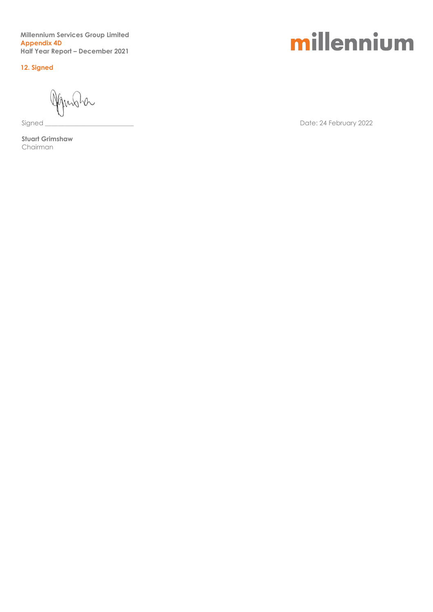**Millennium Services Group Limited Appendix 4D Half Year Report – December 2021**

**12. Signed**

ha

**Stuart Grimshaw** Chairman

### millennium

Signed \_\_\_\_\_\_\_\_\_\_\_\_\_\_\_\_\_\_\_\_\_\_\_\_\_\_\_ Date: 24 February 2022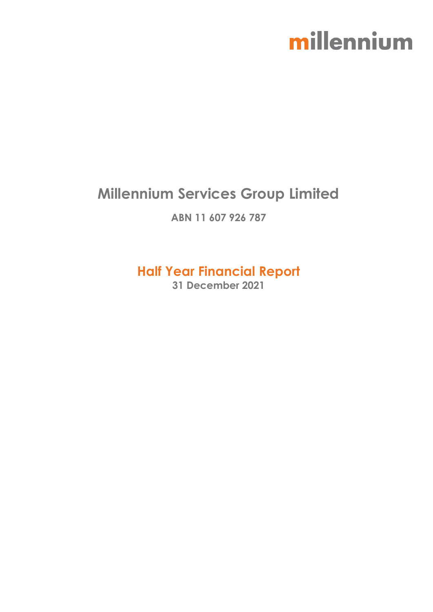### **Millennium Services Group Limited**

**ABN 11 607 926 787**

**Half Year Financial Report**

**31 December 2021**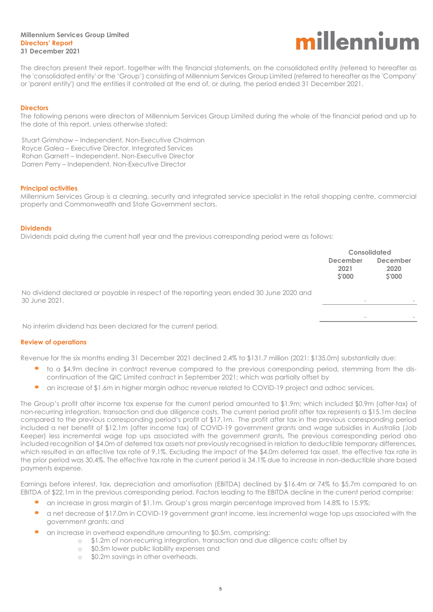#### **Millennium Services Group Limited Directors' Report 31 December 2021**



The directors present their report, together with the financial statements, on the consolidated entity (referred to hereafter as the 'consolidated entity' or the 'Group') consisting of Millennium Services Group Limited (referred to hereafter as the 'Company' or 'parent entity') and the entities it controlled at the end of, or during, the period ended 31 December 2021.

#### **Directors**

The following persons were directors of Millennium Services Group Limited during the whole of the financial period and up to the date of this report, unless otherwise stated:

Stuart Grimshaw – Independent, Non-Executive Chairman Royce Galea – Executive Director, Integrated Services Rohan Garnett – Independent, Non-Executive Director Darren Perry – Independent, Non-Executive Director

#### **Principal activities**

Millennium Services Group is a cleaning, security and integrated service specialist in the retail shopping centre, commercial property and Commonwealth and State Government sectors.

#### **Dividends**

Dividends paid during the current half year and the previous corresponding period were as follows:

|                                                                                                           | <b>Consolidated</b>              |                                   |
|-----------------------------------------------------------------------------------------------------------|----------------------------------|-----------------------------------|
|                                                                                                           | <b>December</b><br>2021<br>S'000 | <b>December</b><br>2020<br>\$'000 |
| No dividend declared or payable in respect of the reporting years ended 30 June 2020 and<br>30 June 2021. |                                  |                                   |
| No interim dividend has been declared for the current period.                                             | $\overline{\phantom{a}}$         |                                   |

#### **Review of operations**

Revenue for the six months ending 31 December 2021 declined 2.4% to \$131.7 million (2021: \$135.0m) substantially due:

- to a \$4.9m decline in contract revenue compared to the previous corresponding period, stemming from the discontinuation of the QIC Limited contract in September 2021; which was partially offset by
- an increase of \$1.6m in higher margin adhoc revenue related to COVID-19 project and adhoc services.

The Group's profit after income tax expense for the current period amounted to \$1.9m; which included \$0.9m (after-tax) of non-recurring integration, transaction and due diligence costs. The current period profit after tax represents a \$15.1m decline compared to the previous corresponding period's profit of \$17.1m. The profit after tax in the previous corresponding period included a net benefit of \$12.1m (after income tax) of COVID-19 government grants and wage subsidies in Australia (Job Keeper) less incremental wage top ups associated with the government grants. The previous corresponding period also included recognition of \$4.0m of deferred tax assets not previously recognised in relation to deductible temporary differences, which resulted in an effective tax rate of 9.1%. Excluding the impact of the \$4.0m deferred tax asset, the effective tax rate in the prior period was 30.4%. The effective tax rate in the current period is 34.1% due to increase in non-deductible share based payments expense.

Earnings before interest, tax, depreciation and amortisation (EBITDA) declined by \$16.4m or 74% to \$5.7m compared to an EBITDA of \$22.1m in the previous corresponding period. Factors leading to the EBITDA decline in the current period comprise:

- an increase in gross margin of \$1.1m. Group's gross margin percentage improved from 14.8% to 15.9%;
- a net decrease of \$17.0m in COVID-19 government grant income, less incremental wage top ups associated with the government grants; and
	- an increase in overhead expenditure amounting to \$0.5m, comprising:
		- o \$1.2m of non-recurring integration, transaction and due diligence costs; offset by
		- o \$0.5m lower public liability expenses and
		- o \$0.2m savings in other overheads.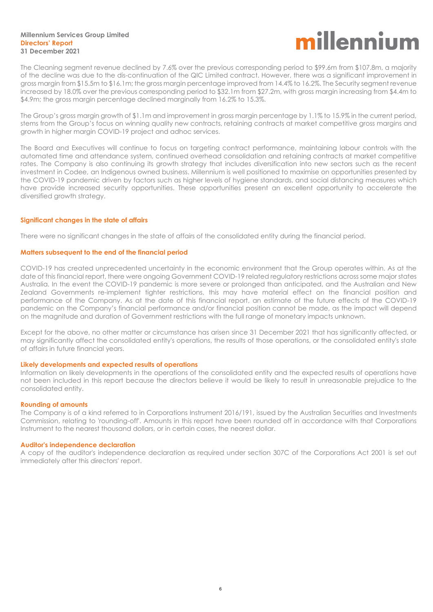#### **Millennium Services Group Limited Directors' Report 31 December 2021**

### millenniur

The Cleaning segment revenue declined by 7.6% over the previous corresponding period to \$99.6m from \$107.8m, a majority of the decline was due to the dis-continuation of the QIC Limited contract. However, there was a significant improvement in gross margin from \$15.5m to \$16.1m; the gross margin percentage improved from 14.4% to 16.2%. The Security segment revenue increased by 18.0% over the previous corresponding period to \$32.1m from \$27.2m, with gross margin increasing from \$4.4m to \$4.9m; the gross margin percentage declined marginally from 16.2% to 15.3%.

The Group's gross margin growth of \$1.1m and improvement in gross margin percentage by 1.1% to 15.9% in the current period, stems from the Group's focus on winning quality new contracts, retaining contracts at market competitive gross margins and growth in higher margin COVID-19 project and adhoc services.

The Board and Executives will continue to focus on targeting contract performance, maintaining labour controls with the automated time and attendance system, continued overhead consolidation and retaining contracts at market competitive rates. The Company is also continuing its growth strategy that includes diversification into new sectors such as the recent investment in Codee, an Indigenous owned business. Millennium is well positioned to maximise on opportunities presented by the COVID-19 pandemic driven by factors such as higher levels of hygiene standards, and social distancing measures which have provide increased security opportunities. These opportunities present an excellent opportunity to accelerate the diversified growth strategy.

#### **Significant changes in the state of affairs**

There were no significant changes in the state of affairs of the consolidated entity during the financial period.

#### **Matters subsequent to the end of the financial period**

COVID-19 has created unprecedented uncertainty in the economic environment that the Group operates within. As at the date of this financial report, there were ongoing Government COVID-19 related regulatory restrictions across some major states Australia. In the event the COVID-19 pandemic is more severe or prolonged than anticipated, and the Australian and New Zealand Governments re-implement tighter restrictions, this may have material effect on the financial position and performance of the Company. As at the date of this financial report, an estimate of the future effects of the COVID-19 pandemic on the Company's financial performance and/or financial position cannot be made, as the impact will depend on the magnitude and duration of Government restrictions with the full range of monetary impacts unknown.

Except for the above, no other matter or circumstance has arisen since 31 December 2021 that has significantly affected, or may significantly affect the consolidated entity's operations, the results of those operations, or the consolidated entity's state of affairs in future financial years.

#### **Likely developments and expected results of operations**

Information on likely developments in the operations of the consolidated entity and the expected results of operations have not been included in this report because the directors believe it would be likely to result in unreasonable prejudice to the consolidated entity.

#### **Rounding of amounts**

The Company is of a kind referred to in Corporations Instrument 2016/191, issued by the Australian Securities and Investments Commission, relating to 'rounding-off'. Amounts in this report have been rounded off in accordance with that Corporations Instrument to the nearest thousand dollars, or in certain cases, the nearest dollar.

#### **Auditor's independence declaration**

A copy of the auditor's independence declaration as required under section 307C of the Corporations Act 2001 is set out immediately after this directors' report.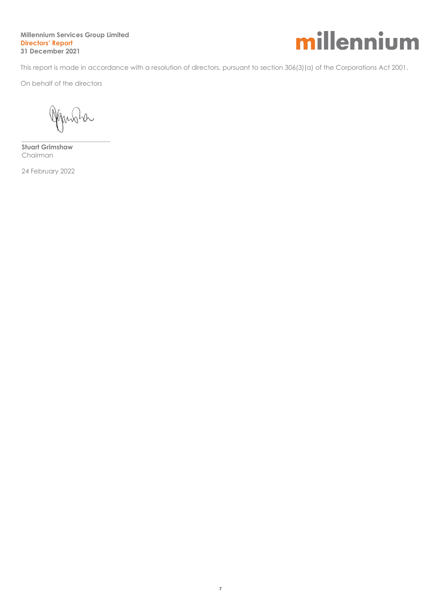#### **Millennium Services Group Limited Directors' Report 31 December 2021**



This report is made in accordance with a resolution of directors, pursuant to section 306(3)(a) of the Corporations Act 2001.

On behalf of the directors

Jansha

\_\_\_\_\_\_\_\_\_\_\_\_\_\_\_\_\_\_\_\_\_\_\_\_\_\_\_ **Stuart Grimshaw** Chairman

24 February 2022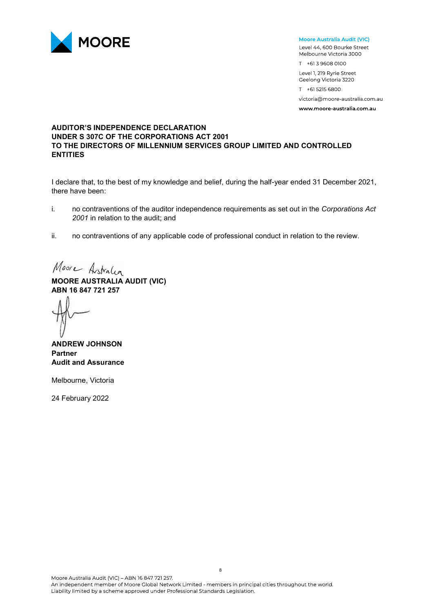

#### Moore Australia Audit (VIC)

Level 44, 600 Bourke Street Melbourne Victoria 3000 T +61 3 9608 0100

Level 1, 219 Ryrie Street Geelong Victoria 3220

T +61 5215 6800 victoria@moore-australia.com.au

www.moore-australia.com.au

#### **AUDITOR'S INDEPENDENCE DECLARATION UNDER S 307C OF THE CORPORATIONS ACT 2001 TO THE DIRECTORS OF MILLENNIUM SERVICES GROUP LIMITED AND CONTROLLED ENTITIES**

I declare that, to the best of my knowledge and belief, during the half-year ended 31 December 2021, there have been:

- i. no contraventions of the auditor independence requirements as set out in the *Corporations Act 2001* in relation to the audit; and
- ii. no contraventions of any applicable code of professional conduct in relation to the review.

Moore Astralia

**MOORE AUSTRALIA AUDIT (VIC) ABN 16 847 721 257**

**ANDREW JOHNSON Partner Audit and Assurance** 

Melbourne, Victoria

24 February 2022

Liability limited by a scheme approved under Professional Standards Legislation.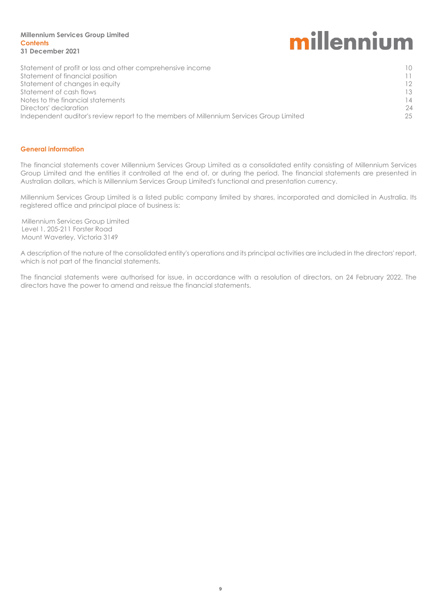#### **Millennium Services Group Limited Contents 31 December 2021**

# millennium

| Statement of profit or loss and other comprehensive income                              | 10 <sup>°</sup> |
|-----------------------------------------------------------------------------------------|-----------------|
| Statement of financial position                                                         | 11.             |
| Statement of changes in equity                                                          | 12              |
| Statement of cash flows                                                                 | 13              |
| Notes to the financial statements                                                       | 14              |
| Directors' declaration                                                                  | -24             |
| Independent auditor's review report to the members of Millennium Services Group Limited | 25              |
|                                                                                         |                 |

#### **General information**

The financial statements cover Millennium Services Group Limited as a consolidated entity consisting of Millennium Services Group Limited and the entities it controlled at the end of, or during the period. The financial statements are presented in Australian dollars, which is Millennium Services Group Limited's functional and presentation currency.

Millennium Services Group Limited is a listed public company limited by shares, incorporated and domiciled in Australia. Its registered office and principal place of business is:

Millennium Services Group Limited Level 1, 205-211 Forster Road Mount Waverley, Victoria 3149

A description of the nature of the consolidated entity's operations and its principal activities are included in the directors' report, which is not part of the financial statements.

The financial statements were authorised for issue, in accordance with a resolution of directors, on 24 February 2022. The directors have the power to amend and reissue the financial statements.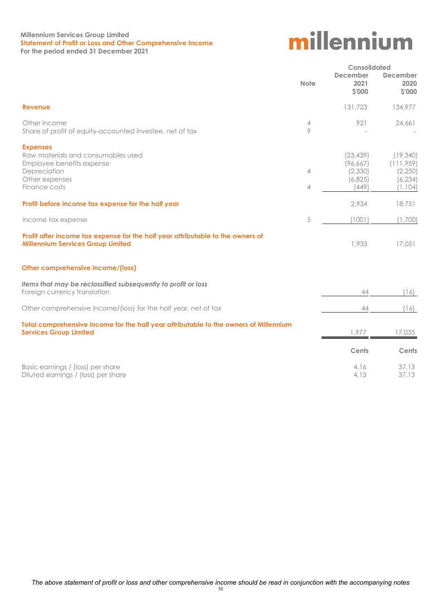#### **Millennium Services Group Limited Statement of Profit or Loss and Other Comprehensive Income For the period ended 31 December 2021**

|                                                                                                                                       |                     |                                                        | Consolidated                                              |  |
|---------------------------------------------------------------------------------------------------------------------------------------|---------------------|--------------------------------------------------------|-----------------------------------------------------------|--|
|                                                                                                                                       | <b>Note</b>         | <b>December</b><br>2021<br><b>S'000</b>                | December<br>2020<br>\$'000                                |  |
| <b>Revenue</b>                                                                                                                        |                     | 131,723                                                | 134,977                                                   |  |
| Other income<br>Share of profit of equity-accounted investee, net of tax                                                              | 4<br>9              | 921                                                    | 24,661                                                    |  |
| <b>Expenses</b><br>Raw materials and consumables used<br>Employee benefits expense<br>Depreciation<br>Other expenses<br>Finance costs | 4<br>$\overline{4}$ | (23, 439)<br>(96, 667)<br>(2, 330)<br>(6,825)<br>(449) | (19,340)<br>(111,959)<br>(2, 250)<br>(6, 234)<br>(1, 104) |  |
| Profit before income tax expense for the half year                                                                                    |                     | 2,934                                                  | 18,751                                                    |  |
| Income tax expense                                                                                                                    | 5                   | (1001)                                                 | (1,700)                                                   |  |
| Profit after income tax expense for the half year attributable to the owners of<br><b>Millennium Services Group Limited</b>           |                     | 1,933                                                  | 17,051                                                    |  |
| Other comprehensive income/(loss)                                                                                                     |                     |                                                        |                                                           |  |
| Items that may be reclassified subsequently to profit or loss<br>Foreign currency translation                                         |                     | 44                                                     | (16)                                                      |  |
| Other comprehensive income/(loss) for the half year, net of tax                                                                       |                     | 44                                                     | (16)                                                      |  |
| Total comprehensive income for the half year attributable to the owners of Millennium<br><b>Services Group Limited</b>                |                     | 1,977                                                  | 17,035                                                    |  |
|                                                                                                                                       |                     | Cents                                                  | Cents                                                     |  |
| Basic earnings / (loss) per share<br>Diluted earnings / (loss) per share                                                              |                     | 4.16<br>4.13                                           | 37.13<br>37.13                                            |  |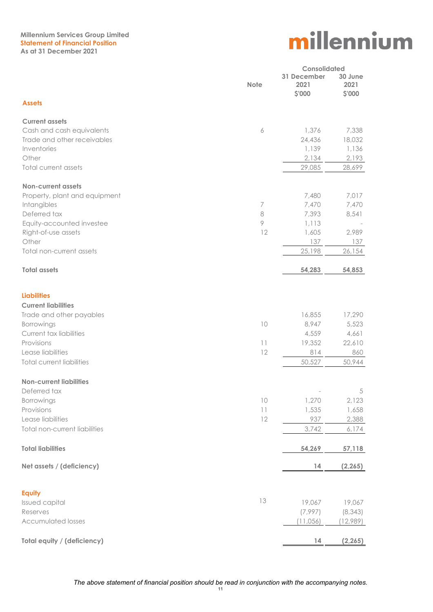#### **Millennium Services Group Limited Statement of Financial Position As at 31 December 2021**

|                                    |             | <b>Consolidated</b>           |                           |  |
|------------------------------------|-------------|-------------------------------|---------------------------|--|
|                                    | <b>Note</b> | 31 December<br>2021<br>\$'000 | 30 June<br>2021<br>\$'000 |  |
| <b>Assets</b>                      |             |                               |                           |  |
| <b>Current assets</b>              |             |                               |                           |  |
| Cash and cash equivalents          | 6           | 1,376                         | 7,338                     |  |
| Trade and other receivables        |             | 24,436                        | 18,032                    |  |
| Inventories                        |             | 1,139                         | 1,136                     |  |
| Other                              |             | 2,134                         | 2,193                     |  |
| Total current assets               |             | 29,085                        | 28,699                    |  |
| <b>Non-current assets</b>          |             |                               |                           |  |
| Property, plant and equipment      |             | 7,480                         | 7,017                     |  |
| Intangibles                        | 7           | 7,470                         | 7,470                     |  |
| Deferred tax                       | 8           | 7,393                         | 8,541                     |  |
| Equity-accounted investee          | $\circ$     | 1,113                         |                           |  |
| Right-of-use assets                | 12          | 1,605                         | 2,989                     |  |
| Other                              |             | 137                           | 137                       |  |
| Total non-current assets           |             | 25,198                        | 26,154                    |  |
| <b>Total assets</b>                |             | 54,283                        | 54,853                    |  |
| <b>Liabilities</b>                 |             |                               |                           |  |
| <b>Current liabilities</b>         |             |                               |                           |  |
| Trade and other payables           |             | 16,855                        | 17,290                    |  |
| Borrowings                         | 10          | 8,947                         | 5,523                     |  |
| Current tax liabilities            |             | 4,559                         | 4,661                     |  |
| Provisions                         | $  \  $     | 19,352                        | 22,610                    |  |
| Lease liabilities                  | 12          | 814                           | 860                       |  |
| <b>Total current liabilities</b>   |             | 50,527                        | 50,944                    |  |
| <b>Non-current liabilities</b>     |             |                               |                           |  |
| Deferred tax                       |             |                               | 5                         |  |
| Borrowings                         | 10          | 1,270                         | 2,123                     |  |
| Provisions                         | $  \  $     | 1,535                         | 1,658                     |  |
| Lease liabilities                  | 12          | 937                           | 2,388                     |  |
| Total non-current liabilities      |             | 3,742                         | 6,174                     |  |
| <b>Total liabilities</b>           |             | 54,269                        | 57,118                    |  |
| Net assets / (deficiency)          |             | 14                            | (2, 265)                  |  |
| <b>Equity</b>                      |             |                               |                           |  |
| Issued capital                     | 13          | 19,067                        | 19,067                    |  |
| Reserves                           |             | (7,997)                       | (8, 343)                  |  |
| <b>Accumulated losses</b>          |             | (11,056)                      | 12,989)                   |  |
| <b>Total equity / (deficiency)</b> |             | 14                            | (2, 265)                  |  |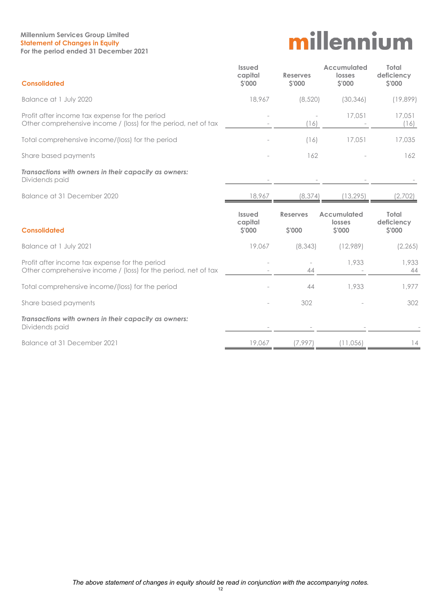#### **Millennium Services Group Limited Statement of Changes in Equity For the period ended 31 December 2021**

| <b>Consolidated</b>                                                                                              | <b>Issued</b><br>capital<br>\$'000 | <b>Reserves</b><br>\$'000 | Accumulated<br>losses<br><b>S'000</b> | Total<br>deficiency<br>\$'000 |
|------------------------------------------------------------------------------------------------------------------|------------------------------------|---------------------------|---------------------------------------|-------------------------------|
| Balance at 1 July 2020                                                                                           | 18,967                             | (8,520)                   | (30, 346)                             | (19,899)                      |
| Profit after income tax expense for the period<br>Other comprehensive income / (loss) for the period, net of tax |                                    | (16)                      | 17,051                                | 17,051<br>(16)                |
| Total comprehensive income/(loss) for the period                                                                 |                                    | (16)                      | 17,051                                | 17,035                        |
| Share based payments                                                                                             |                                    | 162                       |                                       | 162                           |
| Transactions with owners in their capacity as owners:<br>Dividends paid                                          |                                    |                           |                                       |                               |
| Balance at 31 December 2020                                                                                      | 18,967                             | (8, 374)                  | (13, 295)                             | (2,702)                       |
|                                                                                                                  |                                    |                           |                                       |                               |
| <b>Consolidated</b>                                                                                              | <b>Issued</b><br>capital<br>\$'000 | <b>Reserves</b><br>\$'000 | Accumulated<br>losses<br>\$'000       | Total<br>deficiency<br>\$'000 |
| Balance at 1 July 2021                                                                                           | 19,067                             | (8, 343)                  | (12,989)                              | (2, 265)                      |
| Profit after income tax expense for the period<br>Other comprehensive income / (loss) for the period, net of tax |                                    | 44                        | 1,933                                 | 1,933<br>44                   |
| Total comprehensive income/(loss) for the period                                                                 |                                    | 44                        | 1,933                                 | 1,977                         |
| Share based payments                                                                                             |                                    | 302                       |                                       | 302                           |
| Transactions with owners in their capacity as owners:<br>Dividends paid                                          |                                    |                           |                                       |                               |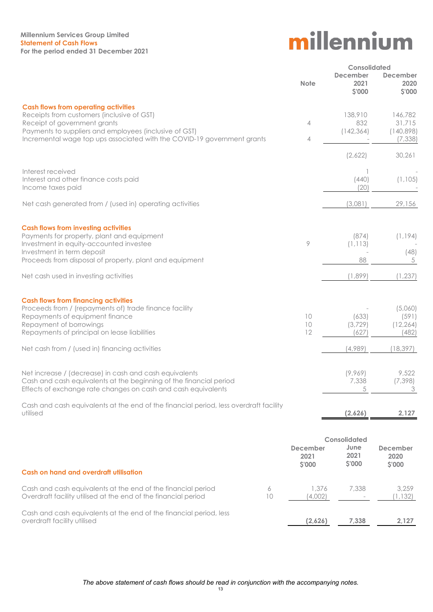#### **Millennium Services Group Limited Statement of Cash Flows For the period ended 31 December 2021**

|                                                                                                                                |                             | <b>Consolidated</b>               |                                   |
|--------------------------------------------------------------------------------------------------------------------------------|-----------------------------|-----------------------------------|-----------------------------------|
|                                                                                                                                | <b>Note</b>                 | <b>December</b><br>2021<br>\$'000 | <b>December</b><br>2020<br>\$'000 |
| <b>Cash flows from operating activities</b>                                                                                    |                             |                                   |                                   |
| Receipts from customers (inclusive of GST)<br>Receipt of government grants                                                     | 4                           | 138,910<br>832                    | 146,782<br>31,715                 |
| Payments to suppliers and employees (inclusive of GST)                                                                         |                             | (142, 364)                        | (140,898)                         |
| Incremental wage top ups associated with the COVID-19 government grants                                                        | 4                           |                                   | (7, 338)                          |
|                                                                                                                                |                             | (2,622)                           | 30,261                            |
| Interest received                                                                                                              |                             |                                   |                                   |
| Interest and other finance costs paid<br>Income taxes paid                                                                     |                             | (440)<br>(20)                     | (1, 105)                          |
|                                                                                                                                |                             |                                   |                                   |
| Net cash generated from / (used in) operating activities                                                                       |                             | (3,081)                           | 29,156                            |
| <b>Cash flows from investing activities</b>                                                                                    |                             |                                   |                                   |
| Payments for property, plant and equipment<br>Investment in equity-accounted investee                                          | 9                           | (874)<br>(1, 113)                 | (1, 194)                          |
| Investment in term deposit                                                                                                     |                             |                                   | (48)                              |
| Proceeds from disposal of property, plant and equipment                                                                        |                             | 88                                | 5                                 |
| Net cash used in investing activities                                                                                          |                             | (1,899)                           | (1, 237)                          |
| <b>Cash flows from financing activities</b>                                                                                    |                             |                                   |                                   |
| Proceeds from / (repayments of) trade finance facility<br>Repayments of equipment finance                                      | 10                          | (633)                             | (5,060)<br>(591)                  |
| Repayment of borrowings                                                                                                        | 10                          | (3, 729)                          | (12, 264)                         |
| Repayments of principal on lease liabilities                                                                                   | 12                          | 627                               | (482)                             |
| Net cash from / (used in) financing activities                                                                                 |                             | (4,989)                           | (18, 397)                         |
| Net increase / (decrease) in cash and cash equivalents                                                                         |                             | (9,969)                           | 9,522                             |
| Cash and cash equivalents at the beginning of the financial period                                                             |                             | 7,338                             | (7, 398)                          |
| Effects of exchange rate changes on cash and cash equivalents                                                                  |                             | 5                                 | 3                                 |
| Cash and cash equivalents at the end of the financial period, less overdraft facility<br>utilised                              |                             | (2,626)                           | 2,127                             |
|                                                                                                                                |                             |                                   |                                   |
|                                                                                                                                |                             | Consolidated                      |                                   |
|                                                                                                                                | <b>December</b><br>2021     | June<br>2021                      | December<br>2020                  |
|                                                                                                                                | <b>S'000</b>                | \$'000                            | \$'000                            |
| Cash on hand and overdraft utilisation                                                                                         |                             |                                   |                                   |
| Cash and cash equivalents at the end of the financial period<br>Overdraft facility utilised at the end of the financial period | 1,376<br>6<br>10<br>(4,002) | 7,338                             | 3,259<br>1,132                    |
|                                                                                                                                |                             |                                   |                                   |
| Cash and cash equivalents at the end of the financial period, less<br>overdraft facility utilised                              | (2,626)                     | 7,338                             | 2,127                             |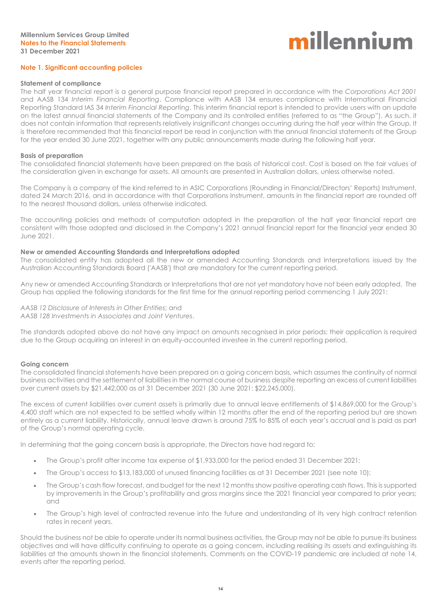#### **Note 1. Significant accounting policies**

#### **Statement of compliance**

The half year financial report is a general purpose financial report prepared in accordance with the *Corporations Act 2001* and AASB 134 *Interim Financial Reporting*. Compliance with AASB 134 ensures compliance with International Financial Reporting Standard IAS 34 *Interim Financial Reporting*. This interim financial report is intended to provide users with an update on the latest annual financial statements of the Company and its controlled entities (referred to as "the Group"). As such, it does not contain information that represents relatively insignificant changes occurring during the half year within the Group. It is therefore recommended that this financial report be read in conjunction with the annual financial statements of the Group for the year ended 30 June 2021, together with any public announcements made during the following half year.

#### **Basis of preparation**

The consolidated financial statements have been prepared on the basis of historical cost. Cost is based on the fair values of the consideration given in exchange for assets. All amounts are presented in Australian dollars, unless otherwise noted.

The Company is a company of the kind referred to in ASIC Corporations (Rounding in Financial/Directors' Reports) Instrument, dated 24 March 2016, and in accordance with that Corporations Instrument, amounts in the financial report are rounded off to the nearest thousand dollars, unless otherwise indicated.

The accounting policies and methods of computation adopted in the preparation of the half year financial report are consistent with those adopted and disclosed in the Company's 2021 annual financial report for the financial year ended 30 June 2021.

#### **New or amended Accounting Standards and Interpretations adopted**

The consolidated entity has adopted all the new or amended Accounting Standards and Interpretations issued by the Australian Accounting Standards Board ('AASB') that are mandatory for the current reporting period.

Any new or amended Accounting Standards or Interpretations that are not yet mandatory have not been early adopted. The Group has applied the following standards for the first time for the annual reporting period commencing 1 July 2021:

*AASB 12 Disclosure of Interests in Other Entities*; and *AASB 128 Investments in Associates and Joint Ventures*.

The standards adopted above do not have any impact on amounts recognised in prior periods; their application is required due to the Group acquiring an interest in an equity-accounted investee in the current reporting period.

#### **Going concern**

The consolidated financial statements have been prepared on a going concern basis, which assumes the continuity of normal business activities and the settlement of liabilities in the normal course of business despite reporting an excess of current liabilities over current assets by \$21,442,000 as at 31 December 2021 (30 June 2021: \$22,245,000).

The excess of current liabilities over current assets is primarily due to annual leave entitlements of \$14,869,000 for the Group's 4,400 staff which are not expected to be settled wholly within 12 months after the end of the reporting period but are shown entirely as a current liability. Historically, annual leave drawn is around 75% to 85% of each year's accrual and is paid as part of the Group's normal operating cycle.

In determining that the going concern basis is appropriate, the Directors have had regard to:

- The Group's profit after income tax expense of \$1,933,000 for the period ended 31 December 2021;
- The Group's access to \$13,183,000 of unused financing facilities as at 31 December 2021 (see note 10);
- The Group's cash flow forecast, and budget for the next 12 months show positive operating cash flows. This is supported by improvements in the Group's profitability and gross margins since the 2021 financial year compared to prior years; and
- The Group's high level of contracted revenue into the future and understanding of its very high contract retention rates in recent years.

Should the business not be able to operate under its normal business activities, the Group may not be able to pursue its business objectives and will have difficulty continuing to operate as a going concern, including realising its assets and extinguishing its liabilities at the amounts shown in the financial statements. Comments on the COVID-19 pandemic are included at note 14, events after the reporting period.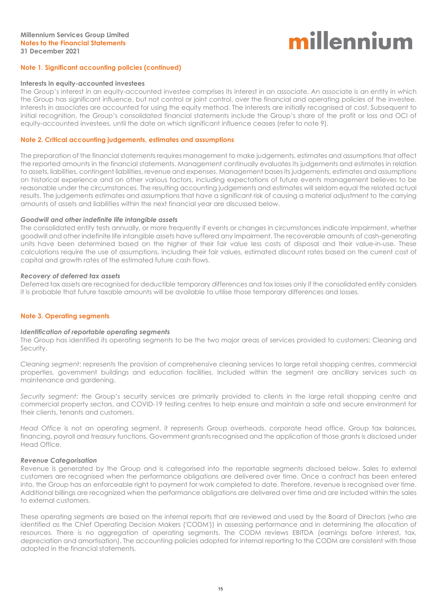#### **Note 1. Significant accounting policies (continued)**

#### **Interests in equity-accounted investees**

The Group's interest in an equity-accounted investee comprises its interest in an associate. An associate is an entity in which the Group has significant influence, but not control or joint control, over the financial and operating policies of the investee. Interests in associates are accounted for using the equity method. The interests are initially recognised at cost. Subsequent to initial recognition, the Group's consolidated financial statements include the Group's share of the profit or loss and OCI of equity-accounted investees, until the date on which significant influence ceases (refer to note 9).

#### **Note 2. Critical accounting judgements, estimates and assumptions**

The preparation of the financial statements requires management to make judgements, estimates and assumptions that affect the reported amounts in the financial statements. Management continually evaluates its judgements and estimates in relation to assets, liabilities, contingent liabilities, revenue and expenses. Management bases its judgements, estimates and assumptions on historical experience and on other various factors, including expectations of future events management believes to be reasonable under the circumstances. The resulting accounting judgements and estimates will seldom equal the related actual results. The judgements estimates and assumptions that have a significant risk of causing a material adjustment to the carrying amounts of assets and liabilities within the next financial year are discussed below.

#### *Goodwill and other indefinite life intangible assets*

The consolidated entity tests annually, or more frequently if events or changes in circumstances indicate impairment, whether goodwill and other indefinite life intangible assets have suffered any impairment. The recoverable amounts of cash-generating units have been determined based on the higher of their fair value less costs of disposal and their value-in-use. These calculations require the use of assumptions, including their fair values, estimated discount rates based on the current cost of capital and growth rates of the estimated future cash flows.

#### *Recovery of deferred tax assets*

Deferred tax assets are recognised for deductible temporary differences and tax losses only if the consolidated entity considers it is probable that future taxable amounts will be available to utilise those temporary differences and losses.

#### **Note 3. Operating segments**

#### *Identification of reportable operating segments*

The Group has identified its operating segments to be the two major areas of services provided to customers; Cleaning and Security.

*Cleaning segment*: represents the provision of comprehensive cleaning services to large retail shopping centres, commercial properties, government buildings and education facilities. Included within the segment are ancillary services such as maintenance and gardening.

*Security segment*: the Group's security services are primarily provided to clients in the large retail shopping centre and commercial property sectors, and COVID-19 testing centres to help ensure and maintain a safe and secure environment for their clients, tenants and customers.

*Head Office* is not an operating segment, it represents Group overheads, corporate head office, Group tax balances, financing, payroll and treasury functions. Government grants recognised and the application of those grants is disclosed under Head Office.

#### *Revenue Categorisation*

Revenue is generated by the Group and is categorised into the reportable segments disclosed below. Sales to external customers are recognised when the performance obligations are delivered over time. Once a contract has been entered into, the Group has an enforceable right to payment for work completed to date. Therefore, revenue is recognised over time. Additional billings are recognized when the performance obligations are delivered over time and are included within the sales to external customers.

These operating segments are based on the internal reports that are reviewed and used by the Board of Directors (who are identified as the Chief Operating Decision Makers ('CODM')) in assessing performance and in determining the allocation of resources. There is no aggregation of operating segments. The CODM reviews EBITDA (earnings before interest, tax, depreciation and amortisation). The accounting policies adopted for internal reporting to the CODM are consistent with those adopted in the financial statements.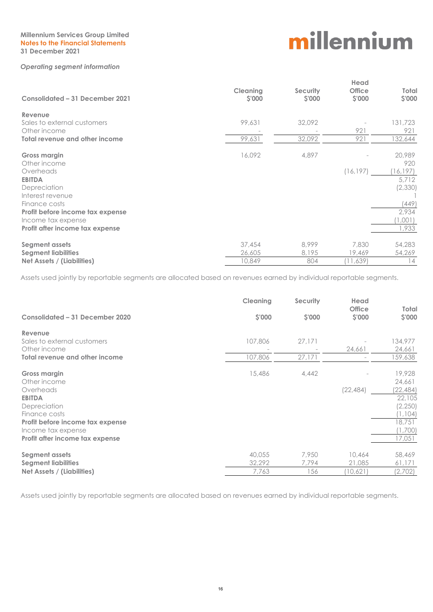#### **Millennium Services Group Limited Notes to the Financial Statements 31 December 2021**

#### *Operating segment information*

# millennium

| Consolidated - 31 December 2021  | <b>Cleaning</b><br>\$'000 | <b>Security</b><br>\$'000 | Head<br><b>Office</b><br><b>S'000</b> | Total<br>\$'000 |
|----------------------------------|---------------------------|---------------------------|---------------------------------------|-----------------|
| Revenue                          |                           |                           |                                       |                 |
| Sales to external customers      | 99,631                    | 32,092                    |                                       | 131,723         |
| Other income                     |                           |                           | 921                                   | 921             |
| Total revenue and other income   | 99,631                    | 32,092                    | 921                                   | 132,644         |
| <b>Gross margin</b>              | 16,092                    | 4,897                     |                                       | 20,989          |
| Other income                     |                           |                           |                                       | 920             |
| Overheads                        |                           |                           | (16, 197)                             | (16, 197)       |
| <b>EBITDA</b>                    |                           |                           |                                       | 5.712           |
| Depreciation                     |                           |                           |                                       | (2,330)         |
| Interest revenue                 |                           |                           |                                       |                 |
| Finance costs                    |                           |                           |                                       | (449)           |
| Profit before income tax expense |                           |                           |                                       | 2,934           |
| Income tax expense               |                           |                           |                                       | 1,001)          |
| Profit after income tax expense  |                           |                           |                                       | 1,933           |
| Segment assets                   | 37,454                    | 8,999                     | 7,830                                 | 54,283          |
| <b>Segment liabilities</b>       | 26,605                    | 8,195                     | 19,469                                | 54,269          |
| Net Assets / (Liabilities)       | 10,849                    | 804                       | (11,639)                              | 14              |

Assets used jointly by reportable segments are allocated based on revenues earned by individual reportable segments.

|                                       | Cleaning | Security | Head                    |                       |
|---------------------------------------|----------|----------|-------------------------|-----------------------|
| Consolidated - 31 December 2020       | \$'000   | \$'000   | <b>Office</b><br>\$'000 | Total<br><b>S'000</b> |
| Revenue                               |          |          |                         |                       |
| Sales to external customers           | 107,806  | 27,171   |                         | 134,977               |
| Other income                          |          |          | 24,661                  | 24,661                |
| <b>Total revenue and other income</b> | 107,806  | 27,171   |                         | 159,638               |
|                                       |          |          |                         |                       |
| <b>Gross margin</b>                   | 15,486   | 4,442    |                         | 19,928                |
| Other income                          |          |          |                         | 24,661                |
| Overheads                             |          |          | (22, 484)               | (22, 484)             |
| <b>EBITDA</b>                         |          |          |                         | 22,105                |
| Depreciation                          |          |          |                         | (2,250)               |
| Finance costs                         |          |          |                         | (1, 104)              |
| Profit before income tax expense      |          |          |                         | 18,751                |
| Income tax expense                    |          |          |                         | (1,700)               |
| Profit after income tax expense       |          |          |                         | 17,051                |
|                                       |          |          |                         |                       |
| Segment assets                        | 40,055   | 7,950    | 10,464                  | 58,469                |
| <b>Segment liabilities</b>            | 32,292   | 7,794    | 21,085                  | 61,171                |
| Net Assets / (Liabilities)            | 7,763    | 156      | (10,621)                | (2,702)               |

Assets used jointly by reportable segments are allocated based on revenues earned by individual reportable segments.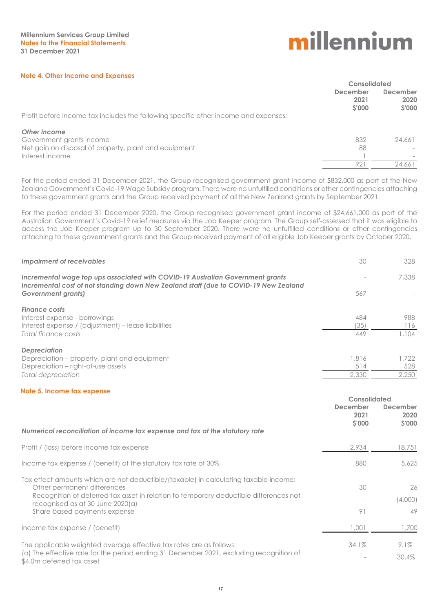#### **Note 4. Other Income and Expenses**

|                                                                                     | Consolidated                            |                            |
|-------------------------------------------------------------------------------------|-----------------------------------------|----------------------------|
|                                                                                     | <b>December</b><br>2021<br><b>S'000</b> | December<br>2020<br>\$'000 |
| Profit before income tax includes the following specific other income and expenses: |                                         |                            |
| <b>Other Income</b>                                                                 |                                         |                            |
| Government grants income                                                            | 832                                     | 24,661                     |
| Net gain on disposal of property, plant and equipment                               | 88                                      |                            |
| Interest income                                                                     |                                         |                            |
|                                                                                     | 921                                     | 24,661                     |

For the period ended 31 December 2021, the Group recognised government grant income of \$832,000 as part of the New Zealand Government's Covid-19 Wage Subsidy program. There were no unfulfilled conditions or other contingencies attaching to these government grants and the Group received payment of all the New Zealand grants by September 2021.

For the period ended 31 December 2020, the Group recognised government grant income of \$24,661,000 as part of the Australian Government's Covid-19 relief measures via the Job Keeper program. The Group self-assessed that it was eligible to access the Job Keeper program up to 30 September 2020. There were no unfulfilled conditions or other contingencies attaching to these government grants and the Group received payment of all eligible Job Keeper grants by October 2020.

| Impairment of receivables                                                                                                                                              | 30    | 328   |
|------------------------------------------------------------------------------------------------------------------------------------------------------------------------|-------|-------|
| Incremental wage top ups associated with COVID-19 Australian Government grants<br>Incremental cost of not standing down New Zealand staff (due to COVID-19 New Zealand |       | 7,338 |
| Government grants)                                                                                                                                                     | 567   |       |
| <b>Finance costs</b>                                                                                                                                                   |       |       |
| Interest expense - borrowings                                                                                                                                          | 484   | 988   |
| Interest expense / (adjustment) – lease liabilities                                                                                                                    | (35)  | 116   |
| Total finance costs                                                                                                                                                    | 449   | .104  |
| <b>Depreciation</b>                                                                                                                                                    |       |       |
| Depreciation – property, plant and equipment                                                                                                                           | 1,816 | 1.722 |
| Depreciation – right-of-use assets                                                                                                                                     | 514   | 528   |
| Total depreciation                                                                                                                                                     | 2,330 | 2.250 |

#### **Note 5. Income tax expense**

|                                                                                                                                                                                                              | Consolidated                      |                                   |
|--------------------------------------------------------------------------------------------------------------------------------------------------------------------------------------------------------------|-----------------------------------|-----------------------------------|
|                                                                                                                                                                                                              | <b>December</b><br>2021<br>\$'000 | <b>December</b><br>2020<br>\$'000 |
| Numerical reconciliation of income tax expense and tax at the statutory rate                                                                                                                                 |                                   |                                   |
| Profit / (loss) before income tax expense                                                                                                                                                                    | 2.934                             | 18,751                            |
| Income tax expense / (benefit) at the statutory tax rate of 30%                                                                                                                                              | 880                               | 5.625                             |
| Tax effect amounts which are not deductible/(taxable) in calculating taxable income:<br>Other permanent differences<br>Recognition of deferred tax asset in relation to temporary deductible differences not | 30                                | 26                                |
| recognised as at 30 June 2020(a)                                                                                                                                                                             |                                   | (4,000)                           |
| Share based payments expense                                                                                                                                                                                 | 91                                | 49                                |
| Income tax expense / (benefit)                                                                                                                                                                               | .001                              | 1,700                             |
| The applicable weighted average effective tax rates are as follows:<br>(a) The effective rate for the period ending 31 December 2021, excluding recognition of<br>\$4.0m deferred tax asset                  | 34.1%                             | $9.1\%$<br>30.4%                  |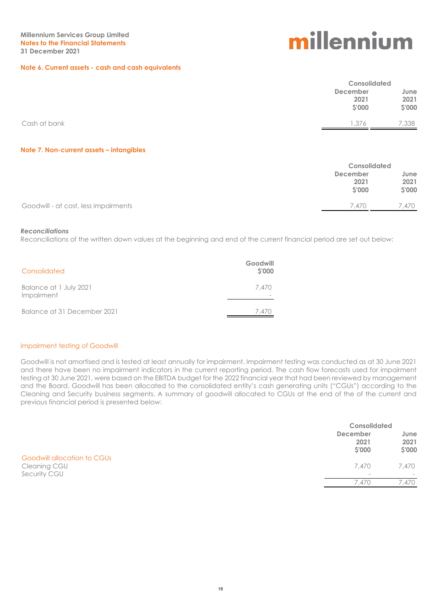#### **Note 6. Current assets - cash and cash equivalents**

# millennium

|              |                  | <b>Consolidated</b> |  |
|--------------|------------------|---------------------|--|
|              | December<br>2021 | June<br>2021        |  |
|              | \$'000           | \$'000              |  |
| Cash at bank | 1,376            | 7,338               |  |

#### **Note 7. Non-current assets – intangibles**

|                                      |                 | <b>Consolidated</b> |  |
|--------------------------------------|-----------------|---------------------|--|
|                                      | <b>December</b> | June                |  |
|                                      | 2021            | 2021                |  |
|                                      | <b>S'000</b>    | \$'000              |  |
| Goodwill - at cost, less impairments | 7.470           | .470                |  |
|                                      |                 |                     |  |

#### *Reconciliations*

Reconciliations of the written down values at the beginning and end of the current financial period are set out below:

| Consolidated                         | Goodwill<br>\$'000 |
|--------------------------------------|--------------------|
| Balance at 1 July 2021<br>Impairment | 7.470              |
| Balance at 31 December 2021          | 7.470              |

#### Impairment testing of Goodwill

Goodwill is not amortised and is tested at least annually for impairment. Impairment testing was conducted as at 30 June 2021 and there have been no impairment indicators in the current reporting period. The cash flow forecasts used for impairment testing at 30 June 2021, were based on the EBITDA budget for the 2022 financial year that had been reviewed by management and the Board. Goodwill has been allocated to the consolidated entity's cash generating units ("CGUs") according to the Cleaning and Security business segments. A summary of goodwill allocated to CGUs at the end of the of the current and previous financial period is presented below:

|                                                             | <b>Consolidated</b>                      |                        |
|-------------------------------------------------------------|------------------------------------------|------------------------|
|                                                             | <b>December</b><br>2021<br>\$'000        | June<br>2021<br>\$'000 |
| Goodwill allocation to CGUs<br>Cleaning CGU<br>Security CGU | 7.470<br>$\hspace{0.1mm}-\hspace{0.1mm}$ | 7,470                  |
|                                                             | 7.470                                    | 7.470                  |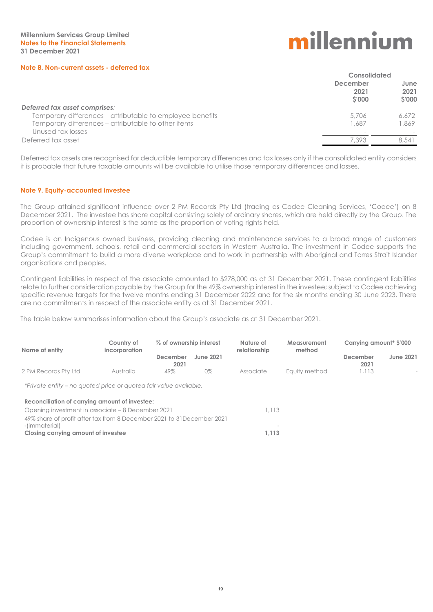#### **Note 8. Non-current assets - deferred tax**

# millennium

|                                                           | Consolidated                     |                              |
|-----------------------------------------------------------|----------------------------------|------------------------------|
|                                                           | December<br>2021<br><b>S'000</b> | June<br>2021<br><b>S'000</b> |
| Deferred tax asset comprises:                             |                                  |                              |
| Temporary differences - attributable to employee benefits | 5.706                            | 6.672                        |
| Temporary differences - attributable to other items       | 1.687                            | 1.869                        |
| Unused tax losses                                         |                                  |                              |
| Deferred tax asset                                        | 7.393                            | 8.541                        |

Deferred tax assets are recognised for deductible temporary differences and tax losses only if the consolidated entity considers it is probable that future taxable amounts will be available to utilise those temporary differences and losses.

#### **Note 9. Equity-accounted investee**

The Group attained significant influence over 2 PM Records Pty Ltd (trading as Codee Cleaning Services, 'Codee') on 8 December 2021. The investee has share capital consisting solely of ordinary shares, which are held directly by the Group. The proportion of ownership interest is the same as the proportion of voting rights held.

Codee is an Indigenous owned business, providing cleaning and maintenance services to a broad range of customers including government, schools, retail and commercial sectors in Western Australia. The investment in Codee supports the Group's commitment to build a more diverse workplace and to work in partnership with Aboriginal and Torres Strait Islander organisations and peoples.

Contingent liabilities in respect of the associate amounted to \$278,000 as at 31 December 2021. These contingent liabilities relate to further consideration payable by the Group for the 49% ownership interest in the investee; subject to Codee achieving specific revenue targets for the twelve months ending 31 December 2022 and for the six months ending 30 June 2023. There are no commitments in respect of the associate entity as at 31 December 2021.

The table below summarises information about the Group's associate as at 31 December 2021.

| Name of entity                                                         | Country of<br>incorporation | % of ownership interest |           | Nature of<br>relationship | Measurement<br>method | Carrying amount <sup>*</sup> \$'000 |                  |
|------------------------------------------------------------------------|-----------------------------|-------------------------|-----------|---------------------------|-----------------------|-------------------------------------|------------------|
|                                                                        |                             | December<br>2021        | June 2021 |                           |                       | December<br>2021                    | <b>June 2021</b> |
| 2 PM Records Pty Ltd                                                   | Australia                   | 49%                     | 0%        | Associate                 | Equity method         | 1,113                               |                  |
| *Private entity – no quoted price or quoted fair value available.      |                             |                         |           |                           |                       |                                     |                  |
| Reconciliation of carrying amount of investee:                         |                             |                         |           |                           |                       |                                     |                  |
| Opening investment in associate – 8 December 2021                      |                             |                         |           | 1,113                     |                       |                                     |                  |
| 49% share of profit after tax from 8 December 2021 to 31 December 2021 |                             |                         |           |                           |                       |                                     |                  |

-(immaterial) - **Closing carrying amount of investee 1,113**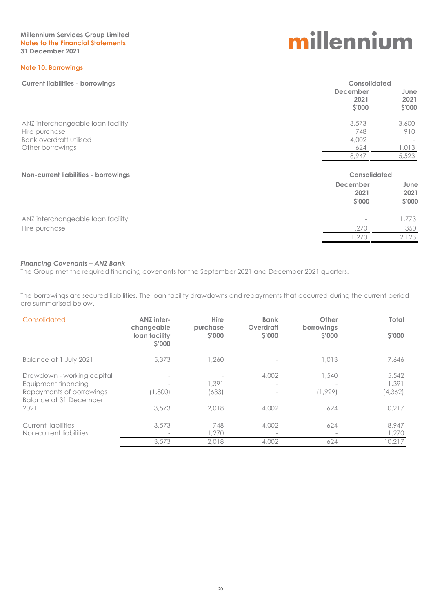**Millennium Services Group Limited Notes to the Financial Statements 31 December 2021**

#### **Note 10. Borrowings**

**Current liabilities - borrowings Consolidated**

# millennium

| June<br>2021<br>\$'000<br>3,600 |
|---------------------------------|
|                                 |
| 910<br>1,013<br>5,523           |
| <b>Consolidated</b>             |
| June<br>2021<br>\$'000          |
| 1,773                           |
|                                 |
| 350                             |
|                                 |

#### *Financing Covenants – ANZ Bank*

The Group met the required financing covenants for the September 2021 and December 2021 quarters.

The borrowings are secured liabilities. The loan facility drawdowns and repayments that occurred during the current period are summarised below.

| Consolidated                                                                                            | <b>ANZ inter-</b><br>changeable | <b>Hire</b><br>purchase | <b>Bank</b><br>Overdraft | Other<br>borrowings | Total                      |
|---------------------------------------------------------------------------------------------------------|---------------------------------|-------------------------|--------------------------|---------------------|----------------------------|
|                                                                                                         | loan facility<br>\$'000         | S'000                   | <b>S'000</b>             | <b>S'000</b>        | <b>S'000</b>               |
| Balance at 1 July 2021                                                                                  | 5,373                           | 1,260                   |                          | 1,013               | 7,646                      |
| Drawdown - working capital<br>Equipment financing<br>Repayments of borrowings<br>Balance at 31 December | (1,800)                         | 1,391<br>(633)          | 4,002                    | .540<br>1.929)      | 5,542<br>1,391<br>(4, 362) |
| 2021                                                                                                    | 3,573                           | 2,018                   | 4,002                    | 624                 | 10,217                     |
| Current liabilities<br>Non-current liabilities                                                          | 3,573                           | 748<br>1,270            | 4,002                    | 624                 | 8,947<br>1,270             |
|                                                                                                         | 3,573                           | 2.018                   | 4,002                    | 624                 | 10.217                     |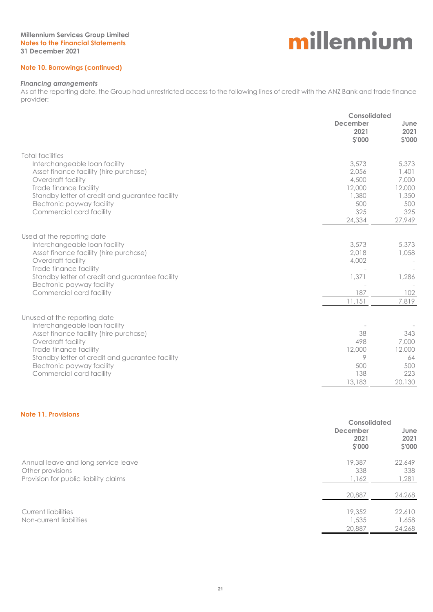#### **Note 10. Borrowings (continued)**

#### *Financing arrangements*

As at the reporting date, the Group had unrestricted access to the following lines of credit with the ANZ Bank and trade finance provider:

|                                                                                                                                     | Consolidated                      |                                   |
|-------------------------------------------------------------------------------------------------------------------------------------|-----------------------------------|-----------------------------------|
|                                                                                                                                     | <b>December</b><br>2021<br>\$'000 | June<br>2021<br>\$'000            |
| <b>Total facilities</b>                                                                                                             |                                   |                                   |
| Interchangeable loan facility<br>Asset finance facility (hire purchase)<br>Overdraft facility                                       | 3,573<br>2.056<br>4,500<br>12,000 | 5,373<br>1,401<br>7,000<br>12,000 |
| Trade finance facility<br>Standby letter of credit and guarantee facility<br>Electronic payway facility<br>Commercial card facility | 1,380<br>500<br>325               | 1,350<br>500<br>325               |
|                                                                                                                                     | 24,334                            | 27,949                            |
| Used at the reporting date                                                                                                          |                                   |                                   |
| Interchangeable loan facility<br>Asset finance facility (hire purchase)<br>Overdraft facility                                       | 3,573<br>2,018<br>4,002           | 5,373<br>1,058                    |
| Trade finance facility<br>Standby letter of credit and guarantee facility<br>Electronic payway facility                             | 1,371                             | 1,286                             |
| Commercial card facility                                                                                                            | 187                               | 102                               |
|                                                                                                                                     | 11,151                            | 7,819                             |
| Unused at the reporting date                                                                                                        |                                   |                                   |
| Interchangeable loan facility<br>Asset finance facility (hire purchase)<br>Overdraft facility                                       | 38<br>498                         | 343<br>7,000                      |
| Trade finance facility<br>Standby letter of credit and guarantee facility                                                           | 12,000<br>9                       | 12,000<br>64                      |
| Electronic payway facility<br>Commercial card facility                                                                              | 500<br>138                        | 500<br>223                        |
|                                                                                                                                     | 13,183                            | 20,130                            |
|                                                                                                                                     |                                   |                                   |

#### **Note 11. Provisions**

|                                                                                                  | <b>Consolidated</b>               |                           |  |
|--------------------------------------------------------------------------------------------------|-----------------------------------|---------------------------|--|
|                                                                                                  | <b>December</b><br>2021<br>\$'000 | June<br>2021<br>\$'000    |  |
| Annual leave and long service leave<br>Other provisions<br>Provision for public liability claims | 19,387<br>338<br>1,162            | 22,649<br>338<br>1,281    |  |
|                                                                                                  | 20,887                            | 24,268                    |  |
| <b>Current liabilities</b><br>Non-current liabilities                                            | 19,352<br>1,535<br>20,887         | 22,610<br>1,658<br>24,268 |  |
|                                                                                                  |                                   |                           |  |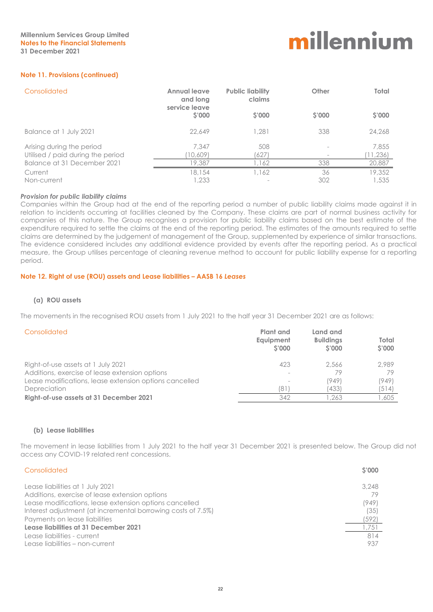#### **Note 11. Provisions (continued)**

| Consolidated                      | <b>Annual leave</b><br>and long<br>service leave | <b>Public liability</b><br>claims | Other        | Total  |
|-----------------------------------|--------------------------------------------------|-----------------------------------|--------------|--------|
|                                   | \$'000                                           | <b>S'000</b>                      | <b>S'000</b> | \$'000 |
| Balance at 1 July 2021            | 22,649                                           | 1,281                             | 338          | 24,268 |
| Arising during the period         | 7,347                                            | 508                               |              | 7,855  |
| Utilised / paid during the period | 10,609                                           | (627)                             |              | 11,236 |
| Balance at 31 December 2021       | 19,387                                           | .162                              | 338          | 20,887 |
| Current                           | 18,154                                           | 1,162                             | 36           | 19,352 |
| Non-current                       | 1,233                                            |                                   | 302          | 1,535  |

#### *Provision for public liability claims*

Companies within the Group had at the end of the reporting period a number of public liability claims made against it in relation to incidents occurring at facilities cleaned by the Company. These claims are part of normal business activity for companies of this nature. The Group recognises a provision for public liability claims based on the best estimate of the expenditure required to settle the claims at the end of the reporting period. The estimates of the amounts required to settle claims are determined by the judgement of management of the Group, supplemented by experience of similar transactions. The evidence considered includes any additional evidence provided by events after the reporting period. As a practical measure, the Group utilises percentage of cleaning revenue method to account for public liability expense for a reporting period.

#### **Note 12. Right of use (ROU) assets and Lease liabilities – AASB 16** *Leases*

#### **(a) ROU assets**

The movements in the recognised ROU assets from 1 July 2021 to the half year 31 December 2021 are as follows:

| Consolidated                                           | Plant and<br>Equipment<br><b>S'000</b> | Land and<br><b>Buildings</b><br><b>S'000</b> | Total<br><b>S'000</b> |
|--------------------------------------------------------|----------------------------------------|----------------------------------------------|-----------------------|
| Right-of-use assets at 1 July 2021                     | 423                                    | 2.566                                        | 2.989                 |
| Additions, exercise of lease extension options         |                                        | 79                                           | 79                    |
| Lease modifications, lease extension options cancelled | $\overline{\phantom{a}}$               | (949)                                        | (949)                 |
| Depreciation                                           | 181                                    | (433)                                        | (514)                 |
| Right-of-use assets at 31 December 2021                | 342                                    | .263                                         | 1,605                 |

#### **(b) Lease liabilities**

The movement in lease liabilities from 1 July 2021 to the half year 31 December 2021 is presented below. The Group did not access any COVID-19 related rent concessions.

| Consolidated                                                                                                                                                                                                 | <b>S'000</b>           |
|--------------------------------------------------------------------------------------------------------------------------------------------------------------------------------------------------------------|------------------------|
| Lease liabilities at 1 July 2021<br>Additions, exercise of lease extension options<br>Lease modifications, lease extension options cancelled<br>Interest adjustment (at incremental borrowing costs of 7.5%) | 3.248<br>(949)<br>(35) |
| Payments on lease liabilities                                                                                                                                                                                | (592)                  |
| Lease liabilities at 31 December 2021                                                                                                                                                                        | 1,751                  |
| Lease liabilities - current<br>Lease liabilities - non-current                                                                                                                                               | 814<br>937             |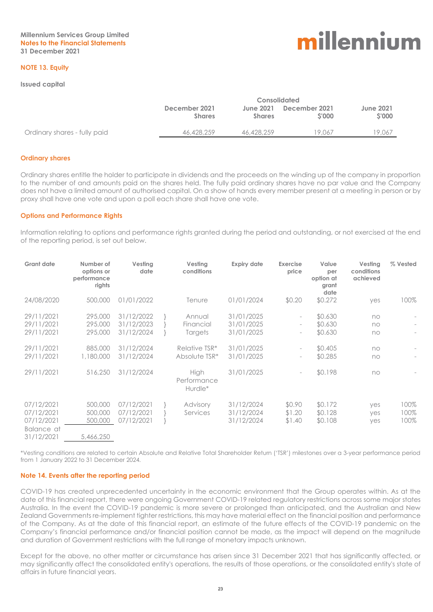#### **NOTE 13. Equity**

#### **Issued capital**

|                              |                                | <b>Consolidated</b>        |                        |                                  |  |  |
|------------------------------|--------------------------------|----------------------------|------------------------|----------------------------------|--|--|
|                              | December 2021<br><b>Shares</b> | June 2021<br><b>Shares</b> | December 2021<br>S'000 | <b>June 2021</b><br><b>S'000</b> |  |  |
| Ordinary shares - fully paid | 46,428,259                     | 46,428,259                 | 19.067                 | 19.067                           |  |  |

#### **Ordinary shares**

Ordinary shares entitle the holder to participate in dividends and the proceeds on the winding up of the company in proportion to the number of and amounts paid on the shares held. The fully paid ordinary shares have no par value and the Company does not have a limited amount of authorised capital. On a show of hands every member present at a meeting in person or by proxy shall have one vote and upon a poll each share shall have one vote.

#### **Options and Performance Rights**

Information relating to options and performance rights granted during the period and outstanding, or not exercised at the end of the reporting period, is set out below.

| <b>Grant date</b>                                                  | Number of<br>options or<br>performance<br>rights      | Vesting<br>date                                                    | Vesting<br>conditions                                            | <b>Expiry date</b>                                                 | <b>Exercise</b><br>price                                                                                                                 | Value<br>per<br>option at<br>grant<br>date          | Vesting<br>conditions<br>achieved | % Vested             |
|--------------------------------------------------------------------|-------------------------------------------------------|--------------------------------------------------------------------|------------------------------------------------------------------|--------------------------------------------------------------------|------------------------------------------------------------------------------------------------------------------------------------------|-----------------------------------------------------|-----------------------------------|----------------------|
| 24/08/2020                                                         | 500,000                                               | 01/01/2022                                                         | Tenure                                                           | 01/01/2024                                                         | \$0.20                                                                                                                                   | \$0.272                                             | yes                               | 100%                 |
| 29/11/2021<br>29/11/2021<br>29/11/2021<br>29/11/2021<br>29/11/2021 | 295,000<br>295,000<br>295,000<br>885,000<br>1,180,000 | 31/12/2022<br>31/12/2023<br>31/12/2024<br>31/12/2024<br>31/12/2024 | Annual<br>Financial<br>Targets<br>Relative TSR*<br>Absolute TSR* | 31/01/2025<br>31/01/2025<br>31/01/2025<br>31/01/2025<br>31/01/2025 | $\overline{\phantom{a}}$<br>$\overline{\phantom{a}}$<br>$\overline{\phantom{a}}$<br>$\overline{\phantom{a}}$<br>$\overline{\phantom{a}}$ | \$0.630<br>\$0.630<br>\$0.630<br>\$0.405<br>\$0.285 | no<br>no<br>no<br>no<br>no        |                      |
| 29/11/2021                                                         | 516,250                                               | 31/12/2024                                                         | High<br>Performance<br>Hurdle*                                   | 31/01/2025                                                         | $\overline{\phantom{a}}$                                                                                                                 | \$0.198                                             | no                                |                      |
| 07/12/2021<br>07/12/2021<br>07/12/2021<br>Balance at<br>31/12/2021 | 500,000<br>500,000<br>500,000<br>5,466,250            | 07/12/2021<br>07/12/2021<br>07/12/2021                             | Advisory<br>Services                                             | 31/12/2024<br>31/12/2024<br>31/12/2024                             | \$0.90<br>\$1.20<br>\$1.40                                                                                                               | \$0.172<br>\$0.128<br>\$0.108                       | yes<br>yes<br>yes                 | 100%<br>100%<br>100% |

\*Vesting conditions are related to certain Absolute and Relative Total Shareholder Return ('TSR') milestones over a 3-year performance period from 1 January 2022 to 31 December 2024.

#### **Note 14. Events after the reporting period**

COVID-19 has created unprecedented uncertainty in the economic environment that the Group operates within. As at the date of this financial report, there were ongoing Government COVID-19 related regulatory restrictions across some major states Australia. In the event the COVID-19 pandemic is more severe or prolonged than anticipated, and the Australian and New Zealand Governments re-implement tighter restrictions, this may have material effect on the financial position and performance of the Company. As at the date of this financial report, an estimate of the future effects of the COVID-19 pandemic on the Company's financial performance and/or financial position cannot be made, as the impact will depend on the magnitude and duration of Government restrictions with the full range of monetary impacts unknown.

Except for the above, no other matter or circumstance has arisen since 31 December 2021 that has significantly affected, or may significantly affect the consolidated entity's operations, the results of those operations, or the consolidated entity's state of affairs in future financial years.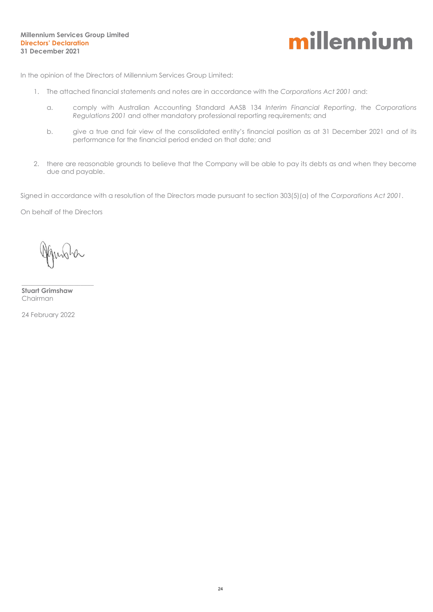

In the opinion of the Directors of Millennium Services Group Limited:

- 1. The attached financial statements and notes are in accordance with the *Corporations Act 2001* and:
	- a. comply with Australian Accounting Standard AASB 134 *Interim Financial Reporting*, the *Corporations Regulations 2001* and other mandatory professional reporting requirements; and
	- b. give a true and fair view of the consolidated entity's financial position as at 31 December 2021 and of its performance for the financial period ended on that date; and
- 2. there are reasonable grounds to believe that the Company will be able to pay its debts as and when they become due and payable.

Signed in accordance with a resolution of the Directors made pursuant to section 303(5)(a) of the *Corporations Act 2001*.

On behalf of the Directors

**Stuart Grimshaw** Chairman

 $\_$ 

24 February 2022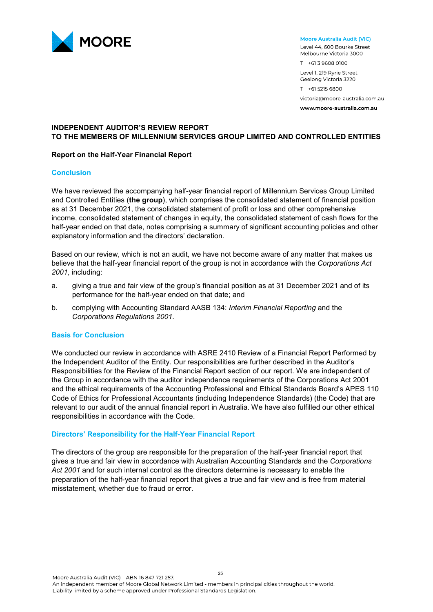

#### Moore Australia Audit (VIC)

Level 44, 600 Bourke Street Melbourne Victoria 3000 T +61 3 9608 0100 Level 1, 219 Ryrie Street Geelong Victoria 3220 T +61 5215 6800 victoria@moore-australia.com.au

www.moore-australia.com.au

#### **INDEPENDENT AUDITOR'S REVIEW REPORT TO THE MEMBERS OF MILLENNIUM SERVICES GROUP LIMITED AND CONTROLLED ENTITIES**

#### **Report on the Half-Year Financial Report**

#### **Conclusion**

We have reviewed the accompanying half-year financial report of Millennium Services Group Limited and Controlled Entities (**the group**), which comprises the consolidated statement of financial position as at 31 December 2021, the consolidated statement of profit or loss and other comprehensive income, consolidated statement of changes in equity, the consolidated statement of cash flows for the half-year ended on that date, notes comprising a summary of significant accounting policies and other explanatory information and the directors' declaration.

Based on our review, which is not an audit, we have not become aware of any matter that makes us believe that the half-year financial report of the group is not in accordance with the *Corporations Act 2001*, including:

- a. giving a true and fair view of the group's financial position as at 31 December 2021 and of its performance for the half-year ended on that date; and
- b. complying with Accounting Standard AASB 134: *Interim Financial Reporting* and the *Corporations Regulations 2001*.

#### **Basis for Conclusion**

We conducted our review in accordance with ASRE 2410 Review of a Financial Report Performed by the Independent Auditor of the Entity. Our responsibilities are further described in the Auditor's Responsibilities for the Review of the Financial Report section of our report. We are independent of the Group in accordance with the auditor independence requirements of the Corporations Act 2001 and the ethical requirements of the Accounting Professional and Ethical Standards Board's APES 110 Code of Ethics for Professional Accountants (including Independence Standards) (the Code) that are relevant to our audit of the annual financial report in Australia. We have also fulfilled our other ethical responsibilities in accordance with the Code.

#### **Directors' Responsibility for the Half-Year Financial Report**

The directors of the group are responsible for the preparation of the half-year financial report that gives a true and fair view in accordance with Australian Accounting Standards and the *Corporations Act 2001* and for such internal control as the directors determine is necessary to enable the preparation of the half-year financial report that gives a true and fair view and is free from material misstatement, whether due to fraud or error.